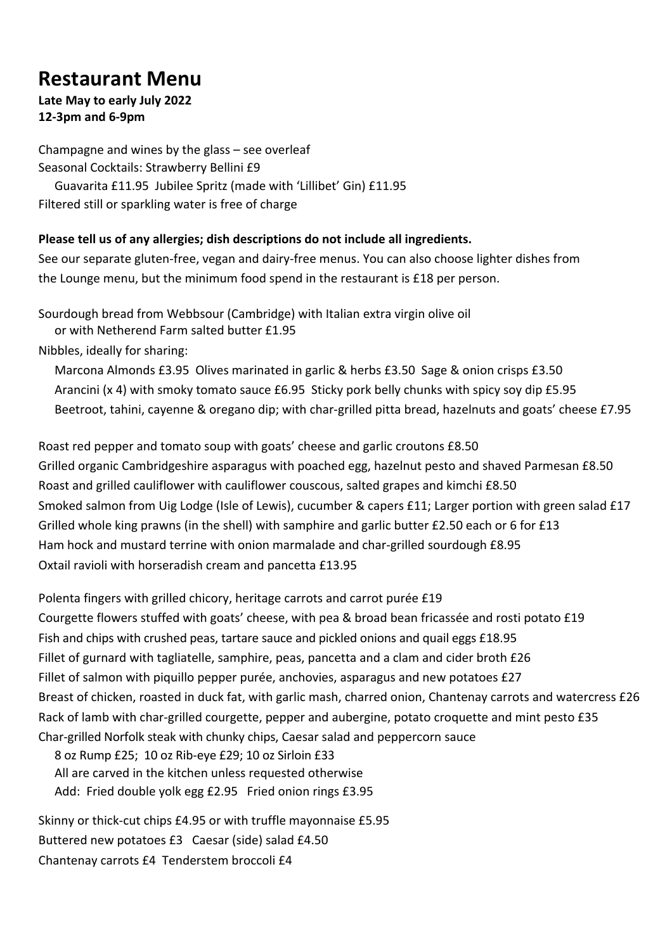# **Restaurant Menu**

#### **Late May to early July 2022 12-3pm and 6-9pm**

Champagne and wines by the glass – see overleaf Seasonal Cocktails: Strawberry Bellini £9 Guavarita £11.95 Jubilee Spritz (made with 'Lillibet' Gin) £11.95 Filtered still or sparkling water is free of charge

#### **Please tell us of any allergies; dish descriptions do not include all ingredients.**

See our separate gluten-free, vegan and dairy-free menus. You can also choose lighter dishes from the Lounge menu, but the minimum food spend in the restaurant is £18 per person.

Sourdough bread from Webbsour (Cambridge) with Italian extra virgin olive oil

or with Netherend Farm salted butter £1.95

Nibbles, ideally for sharing:

Marcona Almonds £3.95 Olives marinated in garlic & herbs £3.50 Sage & onion crisps £3.50 Arancini (x 4) with smoky tomato sauce £6.95 Sticky pork belly chunks with spicy soy dip £5.95 Beetroot, tahini, cayenne & oregano dip; with char-grilled pitta bread, hazelnuts and goats' cheese £7.95

Roast red pepper and tomato soup with goats' cheese and garlic croutons £8.50 Grilled organic Cambridgeshire asparagus with poached egg, hazelnut pesto and shaved Parmesan £8.50 Roast and grilled cauliflower with cauliflower couscous, salted grapes and kimchi £8.50 Smoked salmon from Uig Lodge (Isle of Lewis), cucumber & capers £11; Larger portion with green salad £17 Grilled whole king prawns (in the shell) with samphire and garlic butter £2.50 each or 6 for £13 Ham hock and mustard terrine with onion marmalade and char-grilled sourdough £8.95 Oxtail ravioli with horseradish cream and pancetta £13.95

Polenta fingers with grilled chicory, heritage carrots and carrot purée £19 Courgette flowers stuffed with goats' cheese, with pea & broad bean fricassée and rosti potato £19

Fish and chips with crushed peas, tartare sauce and pickled onions and quail eggs £18.95 Fillet of gurnard with tagliatelle, samphire, peas, pancetta and a clam and cider broth £26 Fillet of salmon with piquillo pepper purée, anchovies, asparagus and new potatoes £27 Breast of chicken, roasted in duck fat, with garlic mash, charred onion, Chantenay carrots and watercress £26 Rack of lamb with char-grilled courgette, pepper and aubergine, potato croquette and mint pesto £35 Char-grilled Norfolk steak with chunky chips, Caesar salad and peppercorn sauce

8 oz Rump £25; 10 oz Rib-eye £29; 10 oz Sirloin £33 All are carved in the kitchen unless requested otherwise Add: Fried double yolk egg £2.95 Fried onion rings £3.95

Skinny or thick-cut chips £4.95 or with truffle mayonnaise £5.95 Buttered new potatoes £3 Caesar (side) salad £4.50 Chantenay carrots £4 Tenderstem broccoli £4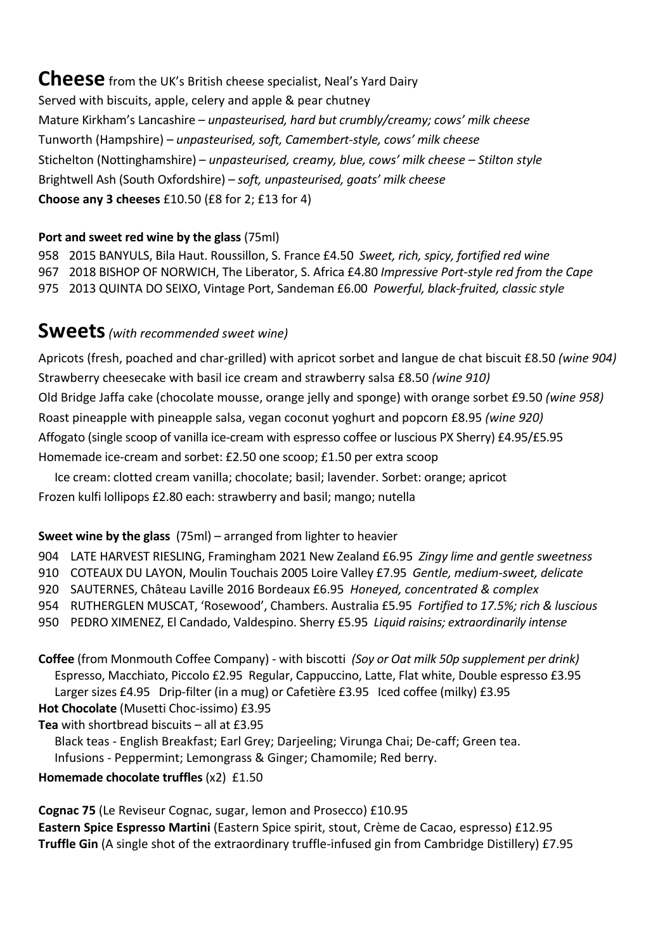**Cheese** from the UK's British cheese specialist, Neal's Yard Dairy Served with biscuits, apple, celery and apple & pear chutney Mature Kirkham's Lancashire – *unpasteurised, hard but crumbly/creamy; cows' milk cheese* Tunworth (Hampshire) – *unpasteurised, soft, Camembert-style, cows' milk cheese* Stichelton (Nottinghamshire) – *unpasteurised, creamy, blue, cows' milk cheese – Stilton style* Brightwell Ash (South Oxfordshire) – *soft, unpasteurised, goats' milk cheese* **Choose any 3 cheeses** £10.50 (£8 for 2; £13 for 4)

## **Port and sweet red wine by the glass** (75ml)

958 2015 BANYULS, Bila Haut. Roussillon, S. France £4.50 *Sweet, rich, spicy, fortified red wine* 967 2018 BISHOP OF NORWICH, The Liberator, S. Africa £4.80 *Impressive Port-style red from the Cape* 975 2013 QUINTA DO SEIXO, Vintage Port, Sandeman £6.00 *Powerful, black-fruited, classic style*

## **Sweets***(with recommended sweet wine)*

Apricots (fresh, poached and char-grilled) with apricot sorbet and langue de chat biscuit £8.50 *(wine 904)* Strawberry cheesecake with basil ice cream and strawberry salsa £8.50 *(wine 910)* Old Bridge Jaffa cake (chocolate mousse, orange jelly and sponge) with orange sorbet £9.50 *(wine 958)* Roast pineapple with pineapple salsa, vegan coconut yoghurt and popcorn £8.95 *(wine 920)* Affogato (single scoop of vanilla ice-cream with espresso coffee or luscious PX Sherry) £4.95/£5.95 Homemade ice-cream and sorbet: £2.50 one scoop; £1.50 per extra scoop

Ice cream: clotted cream vanilla; chocolate; basil; lavender. Sorbet: orange; apricot Frozen kulfi lollipops £2.80 each: strawberry and basil; mango; nutella

## **Sweet wine by the glass** (75ml) – arranged from lighter to heavier

904 LATE HARVEST RIESLING, Framingham 2021 New Zealand £6.95 *Zingy lime and gentle sweetness*

910 COTEAUX DU LAYON, Moulin Touchais 2005 Loire Valley £7.95 *Gentle, medium-sweet, delicate*

920 SAUTERNES, Château Laville 2016 Bordeaux £6.95 *Honeyed, concentrated & complex*

954 RUTHERGLEN MUSCAT, 'Rosewood', Chambers. Australia £5.95 *Fortified to 17.5%; rich & luscious*

950 PEDRO XIMENEZ, El Candado, Valdespino. Sherry £5.95 *Liquid raisins; extraordinarily intense*

**Coffee** (from Monmouth Coffee Company) - with biscotti *(Soy or Oat milk 50p supplement per drink)* Espresso, Macchiato, Piccolo £2.95 Regular, Cappuccino, Latte, Flat white, Double espresso £3.95 Larger sizes £4.95 Drip-filter (in a mug) or Cafetière £3.95 Iced coffee (milky) £3.95

**Hot Chocolate** (Musetti Choc-issimo) £3.95

**Tea** with shortbread biscuits – all at £3.95

 Black teas - English Breakfast; Earl Grey; Darjeeling; Virunga Chai; De-caff; Green tea. Infusions - Peppermint; Lemongrass & Ginger; Chamomile; Red berry.

#### **Homemade chocolate truffles** (x2)£1.50

**Cognac 75** (Le Reviseur Cognac, sugar, lemon and Prosecco) £10.95 **Eastern Spice Espresso Martini** (Eastern Spice spirit, stout, Crème de Cacao, espresso) £12.95 **Truffle Gin** (A single shot of the extraordinary truffle-infused gin from Cambridge Distillery) £7.95